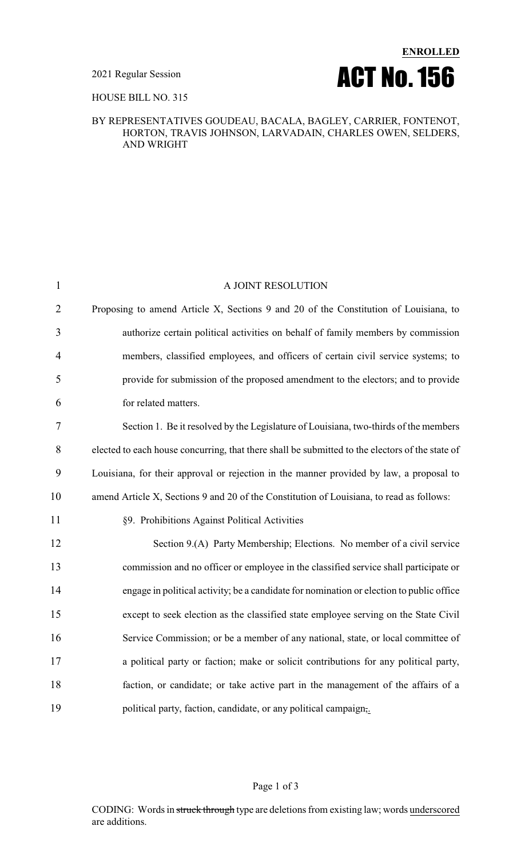

#### HOUSE BILL NO. 315

### BY REPRESENTATIVES GOUDEAU, BACALA, BAGLEY, CARRIER, FONTENOT, HORTON, TRAVIS JOHNSON, LARVADAIN, CHARLES OWEN, SELDERS, AND WRIGHT

| $\mathbf{1}$   | A JOINT RESOLUTION                                                                              |
|----------------|-------------------------------------------------------------------------------------------------|
| $\overline{2}$ | Proposing to amend Article X, Sections 9 and 20 of the Constitution of Louisiana, to            |
| 3              | authorize certain political activities on behalf of family members by commission                |
| 4              | members, classified employees, and officers of certain civil service systems; to                |
| 5              | provide for submission of the proposed amendment to the electors; and to provide                |
| 6              | for related matters.                                                                            |
| 7              | Section 1. Be it resolved by the Legislature of Louisiana, two-thirds of the members            |
| 8              | elected to each house concurring, that there shall be submitted to the electors of the state of |
| 9              | Louisiana, for their approval or rejection in the manner provided by law, a proposal to         |
| 10             | amend Article X, Sections 9 and 20 of the Constitution of Louisiana, to read as follows:        |
| 11             | §9. Prohibitions Against Political Activities                                                   |
| 12             | Section 9.(A) Party Membership; Elections. No member of a civil service                         |
| 13             | commission and no officer or employee in the classified service shall participate or            |
| 14             | engage in political activity; be a candidate for nomination or election to public office        |
| 15             | except to seek election as the classified state employee serving on the State Civil             |
| 16             | Service Commission; or be a member of any national, state, or local committee of                |
| 17             | a political party or faction; make or solicit contributions for any political party,            |
| 18             | faction, or candidate; or take active part in the management of the affairs of a                |
| 19             | political party, faction, candidate, or any political campaign,.                                |
|                |                                                                                                 |

## Page 1 of 3

CODING: Words in struck through type are deletions from existing law; words underscored are additions.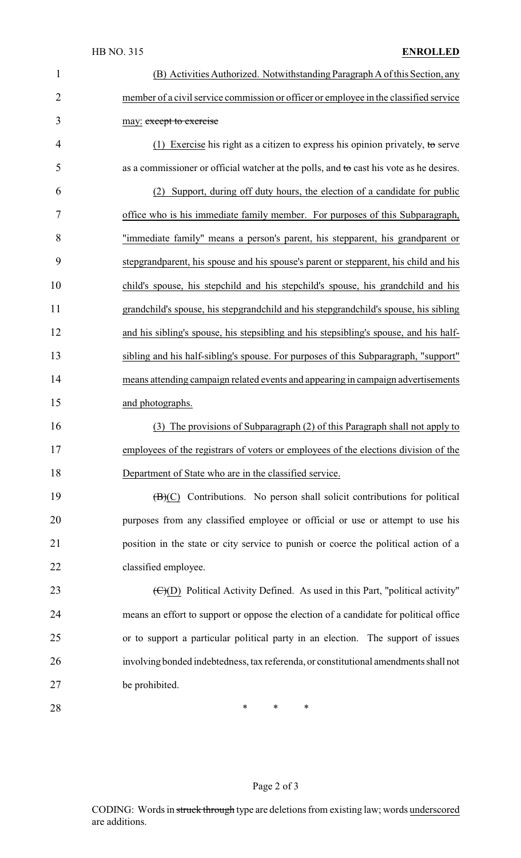| 1              | (B) Activities Authorized. Notwithstanding Paragraph A of this Section, any                 |
|----------------|---------------------------------------------------------------------------------------------|
| $\overline{2}$ | member of a civil service commission or officer or employee in the classified service       |
| 3              | may: except to exercise                                                                     |
| 4              | (1) Exercise his right as a citizen to express his opinion privately, to serve              |
| 5              | as a commissioner or official watcher at the polls, and to cast his vote as he desires.     |
| 6              | (2) Support, during off duty hours, the election of a candidate for public                  |
| 7              | office who is his immediate family member. For purposes of this Subparagraph,               |
| 8              | "immediate family" means a person's parent, his stepparent, his grandparent or              |
| 9              | stepgrandparent, his spouse and his spouse's parent or stepparent, his child and his        |
| 10             | child's spouse, his stepchild and his stepchild's spouse, his grandchild and his            |
| 11             | grandchild's spouse, his stepgrandchild and his stepgrandchild's spouse, his sibling        |
| 12             | and his sibling's spouse, his stepsibling and his stepsibling's spouse, and his half-       |
| 13             | sibling and his half-sibling's spouse. For purposes of this Subparagraph, "support"         |
| 14             | means attending campaign related events and appearing in campaign advertisements            |
| 15             | and photographs.                                                                            |
| 16             | (3) The provisions of Subparagraph (2) of this Paragraph shall not apply to                 |
| 17             | employees of the registrars of voters or employees of the elections division of the         |
| 18             | Department of State who are in the classified service.                                      |
| 19             | $(\mathbf{B})(C)$ Contributions. No person shall solicit contributions for political        |
| 20             | purposes from any classified employee or official or use or attempt to use his              |
| 21             | position in the state or city service to punish or coerce the political action of a         |
| 22             | classified employee.                                                                        |
| 23             | $\overline{(C)}$ (D) Political Activity Defined. As used in this Part, "political activity" |
| 24             | means an effort to support or oppose the election of a candidate for political office       |
| 25             | or to support a particular political party in an election. The support of issues            |
| 26             | involving bonded indebtedness, tax referenda, or constitutional amendments shall not        |
| 27             | be prohibited.                                                                              |
| 28             | ∗<br>∗<br>∗                                                                                 |

# Page 2 of 3

CODING: Words in struck through type are deletions from existing law; words underscored are additions.